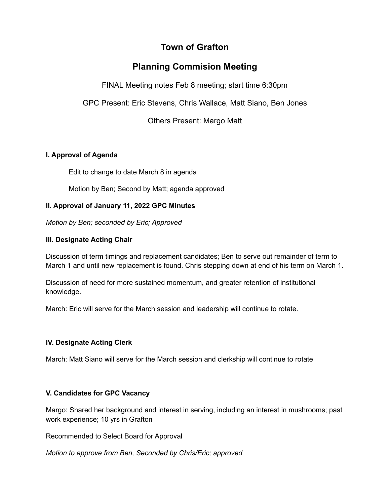# **Town of Grafton**

# **Planning Commision Meeting**

FINAL Meeting notes Feb 8 meeting; start time 6:30pm

GPC Present: Eric Stevens, Chris Wallace, Matt Siano, Ben Jones

Others Present: Margo Matt

# **I. Approval of Agenda**

Edit to change to date March 8 in agenda

Motion by Ben; Second by Matt; agenda approved

# **II. Approval of January 11, 2022 GPC Minutes**

*Motion by Ben; seconded by Eric; Approved*

# **III. Designate Acting Chair**

Discussion of term timings and replacement candidates; Ben to serve out remainder of term to March 1 and until new replacement is found. Chris stepping down at end of his term on March 1.

Discussion of need for more sustained momentum, and greater retention of institutional knowledge.

March: Eric will serve for the March session and leadership will continue to rotate.

# **IV. Designate Acting Clerk**

March: Matt Siano will serve for the March session and clerkship will continue to rotate

# **V. Candidates for GPC Vacancy**

Margo: Shared her background and interest in serving, including an interest in mushrooms; past work experience; 10 yrs in Grafton

Recommended to Select Board for Approval

*Motion to approve from Ben, Seconded by Chris/Eric; approved*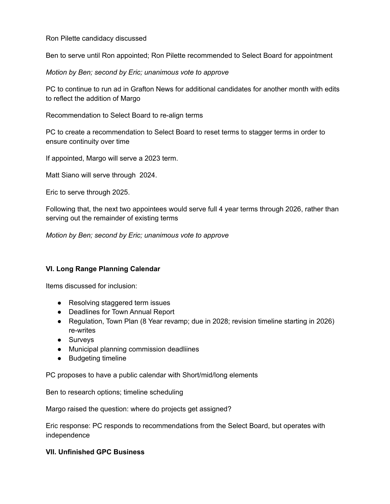Ron Pilette candidacy discussed

Ben to serve until Ron appointed; Ron Pilette recommended to Select Board for appointment

*Motion by Ben; second by Eric; unanimous vote to approve*

PC to continue to run ad in Grafton News for additional candidates for another month with edits to reflect the addition of Margo

Recommendation to Select Board to re-align terms

PC to create a recommendation to Select Board to reset terms to stagger terms in order to ensure continuity over time

If appointed, Margo will serve a 2023 term.

Matt Siano will serve through 2024.

Eric to serve through 2025.

Following that, the next two appointees would serve full 4 year terms through 2026, rather than serving out the remainder of existing terms

*Motion by Ben; second by Eric; unanimous vote to approve*

## **VI. Long Range Planning Calendar**

Items discussed for inclusion:

- Resolving staggered term issues
- Deadlines for Town Annual Report
- Regulation, Town Plan (8 Year revamp; due in 2028; revision timeline starting in 2026) re-writes
- Surveys
- Municipal planning commission deadliines
- Budgeting timeline

PC proposes to have a public calendar with Short/mid/long elements

Ben to research options; timeline scheduling

Margo raised the question: where do projects get assigned?

Eric response: PC responds to recommendations from the Select Board, but operates with independence

## **VII. Unfinished GPC Business**